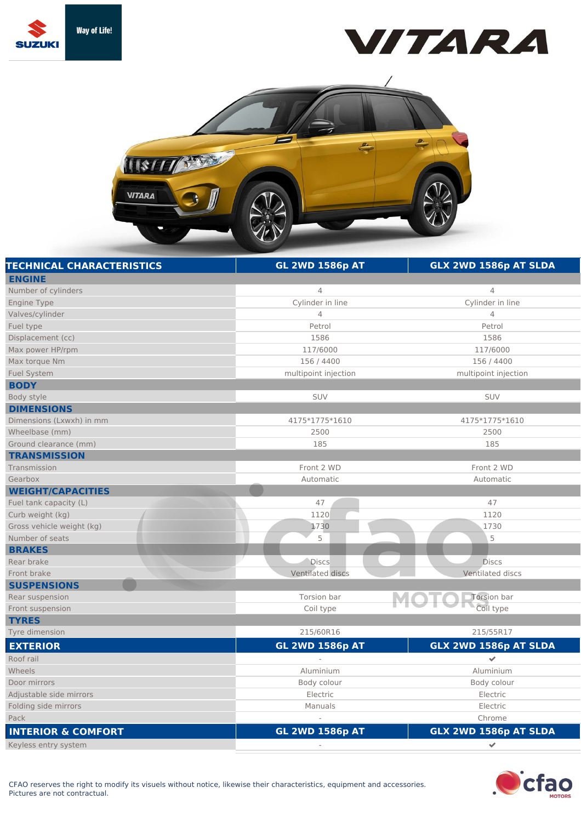





| <b>TECHNICAL CHARACTERISTICS</b> | <b>GL 2WD 1586p AT</b> | GLX 2WD 1586p AT SLDA |
|----------------------------------|------------------------|-----------------------|
| <b>ENGINE</b>                    |                        |                       |
| Number of cylinders              | $\overline{4}$         | 4                     |
| Engine Type                      | Cylinder in line       | Cylinder in line      |
| Valves/cylinder                  | $\overline{4}$         | $\overline{4}$        |
| Fuel type                        | Petrol                 | Petrol                |
| Displacement (cc)                | 1586                   | 1586                  |
| Max power HP/rpm                 | 117/6000               | 117/6000              |
| Max torque Nm                    | 156 / 4400             | 156 / 4400            |
| <b>Fuel System</b>               | multipoint injection   | multipoint injection  |
| <b>BODY</b>                      |                        |                       |
| Body style                       | <b>SUV</b>             | <b>SUV</b>            |
| <b>DIMENSIONS</b>                |                        |                       |
| Dimensions (Lxwxh) in mm         | 4175*1775*1610         | 4175*1775*1610        |
| Wheelbase (mm)                   | 2500                   | 2500                  |
| Ground clearance (mm)            | 185                    | 185                   |
| <b>TRANSMISSION</b>              |                        |                       |
| Transmission                     | Front 2 WD             | Front 2 WD            |
| Gearbox                          | Automatic              | Automatic             |
| <b>WEIGHT/CAPACITIES</b>         |                        |                       |
| Fuel tank capacity (L)           | 47                     | 47                    |
| Curb weight (kg)                 | 1120                   | 1120                  |
| Gross vehicle weight (kg)        | 1730                   | 1730                  |
| Number of seats                  | 5                      | 5                     |
| <b>BRAKES</b>                    |                        |                       |
| Rear brake                       | <b>Discs</b>           | <b>Discs</b>          |
| Front brake                      | Ventilated discs       | Ventilated discs      |
| <b>SUSPENSIONS</b>               |                        |                       |
| Rear suspension                  | Torsion bar            | Torsion bar           |
| Front suspension                 | Coil type              | Coil type             |
| <b>TYRES</b>                     |                        |                       |
| Tyre dimension                   | 215/60R16              | 215/55R17             |
| <b>EXTERIOR</b>                  | <b>GL 2WD 1586p AT</b> | GLX 2WD 1586p AT SLDA |
| Roof rail                        |                        | $\checkmark$          |
| Wheels                           | Aluminium              | Aluminium             |
| Door mirrors                     | Body colour            | Body colour           |
| Adjustable side mirrors          | Electric               | Electric              |
| Folding side mirrors             | Manuals                | Electric              |
| Pack                             |                        | Chrome                |
| <b>INTERIOR &amp; COMFORT</b>    | <b>GL 2WD 1586p AT</b> | GLX 2WD 1586p AT SLDA |
| Keyless entry system             |                        | $\mathcal{P}$         |